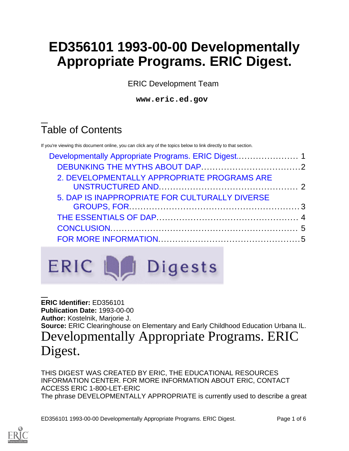# **ED356101 1993-00-00 Developmentally Appropriate Programs. ERIC Digest.**

ERIC Development Team

**www.eric.ed.gov**

# Table of Contents

If you're viewing this document online, you can click any of the topics below to link directly to that section.

| 2. DEVELOPMENTALLY APPROPRIATE PROGRAMS ARE    |  |
|------------------------------------------------|--|
| 5. DAP IS INAPPROPRIATE FOR CULTURALLY DIVERSE |  |
|                                                |  |
|                                                |  |
|                                                |  |



<span id="page-0-0"></span>**ERIC Identifier:** ED356101 **Publication Date:** 1993-00-00 **Author:** Kostelnik, Marjorie J. **Source:** ERIC Clearinghouse on Elementary and Early Childhood Education Urbana IL. Developmentally Appropriate Programs. ERIC Digest.

THIS DIGEST WAS CREATED BY ERIC, THE EDUCATIONAL RESOURCES INFORMATION CENTER. FOR MORE INFORMATION ABOUT ERIC, CONTACT ACCESS ERIC 1-800-LET-ERIC The phrase DEVELOPMENTALLY APPROPRIATE is currently used to describe a great

ED356101 1993-00-00 Developmentally Appropriate Programs. ERIC Digest. Page 1 of 6

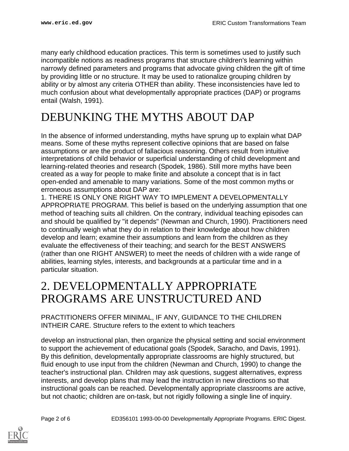many early childhood education practices. This term is sometimes used to justify such incompatible notions as readiness programs that structure children's learning within narrowly defined parameters and programs that advocate giving children the gift of time by providing little or no structure. It may be used to rationalize grouping children by ability or by almost any criteria OTHER than ability. These inconsistencies have led to much confusion about what developmentally appropriate practices (DAP) or programs entail (Walsh, 1991).

## <span id="page-1-0"></span>DEBUNKING THE MYTHS ABOUT DAP

In the absence of informed understanding, myths have sprung up to explain what DAP means. Some of these myths represent collective opinions that are based on false assumptions or are the product of fallacious reasoning. Others result from intuitive interpretations of child behavior or superficial understanding of child development and learning-related theories and research (Spodek, 1986). Still more myths have been created as a way for people to make finite and absolute a concept that is in fact open-ended and amenable to many variations. Some of the most common myths or erroneous assumptions about DAP are:

1. THERE IS ONLY ONE RIGHT WAY TO IMPLEMENT A DEVELOPMENTALLY APPROPRIATE PROGRAM. This belief is based on the underlying assumption that one method of teaching suits all children. On the contrary, individual teaching episodes can and should be qualified by "it depends" (Newman and Church, 1990). Practitioners need to continually weigh what they do in relation to their knowledge about how children develop and learn; examine their assumptions and learn from the children as they evaluate the effectiveness of their teaching; and search for the BEST ANSWERS (rather than one RIGHT ANSWER) to meet the needs of children with a wide range of abilities, learning styles, interests, and backgrounds at a particular time and in a particular situation.

#### <span id="page-1-1"></span>2. DEVELOPMENTALLY APPROPRIATE PROGRAMS ARE UNSTRUCTURED AND

PRACTITIONERS OFFER MINIMAL, IF ANY, GUIDANCE TO THE CHILDREN INTHEIR CARE. Structure refers to the extent to which teachers

develop an instructional plan, then organize the physical setting and social environment to support the achievement of educational goals (Spodek, Saracho, and Davis, 1991). By this definition, developmentally appropriate classrooms are highly structured, but fluid enough to use input from the children (Newman and Church, 1990) to change the teacher's instructional plan. Children may ask questions, suggest alternatives, express interests, and develop plans that may lead the instruction in new directions so that instructional goals can be reached. Developmentally appropriate classrooms are active, but not chaotic; children are on-task, but not rigidly following a single line of inquiry.

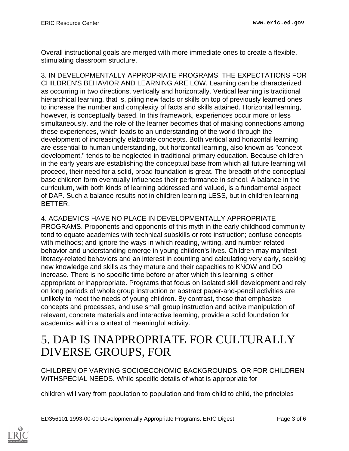Overall instructional goals are merged with more immediate ones to create a flexible, stimulating classroom structure.

3. IN DEVELOPMENTALLY APPROPRIATE PROGRAMS, THE EXPECTATIONS FOR CHILDREN'S BEHAVIOR AND LEARNING ARE LOW. Learning can be characterized as occurring in two directions, vertically and horizontally. Vertical learning is traditional hierarchical learning, that is, piling new facts or skills on top of previously learned ones to increase the number and complexity of facts and skills attained. Horizontal learning, however, is conceptually based. In this framework, experiences occur more or less simultaneously, and the role of the learner becomes that of making connections among these experiences, which leads to an understanding of the world through the development of increasingly elaborate concepts. Both vertical and horizontal learning are essential to human understanding, but horizontal learning, also known as "concept development," tends to be neglected in traditional primary education. Because children in the early years are establishing the conceptual base from which all future learning will proceed, their need for a solid, broad foundation is great. The breadth of the conceptual base children form eventually influences their performance in school. A balance in the curriculum, with both kinds of learning addressed and valued, is a fundamental aspect of DAP. Such a balance results not in children learning LESS, but in children learning BETTER.

#### 4. ACADEMICS HAVE NO PLACE IN DEVELOPMENTALLY APPROPRIATE

PROGRAMS. Proponents and opponents of this myth in the early childhood community tend to equate academics with technical subskills or rote instruction; confuse concepts with methods; and ignore the ways in which reading, writing, and number-related behavior and understanding emerge in young children's lives. Children may manifest literacy-related behaviors and an interest in counting and calculating very early, seeking new knowledge and skills as they mature and their capacities to KNOW and DO increase. There is no specific time before or after which this learning is either appropriate or inappropriate. Programs that focus on isolated skill development and rely on long periods of whole group instruction or abstract paper-and-pencil activities are unlikely to meet the needs of young children. By contrast, those that emphasize concepts and processes, and use small group instruction and active manipulation of relevant, concrete materials and interactive learning, provide a solid foundation for academics within a context of meaningful activity.

#### <span id="page-2-0"></span>5. DAP IS INAPPROPRIATE FOR CULTURALLY DIVERSE GROUPS, FOR

CHILDREN OF VARYING SOCIOECONOMIC BACKGROUNDS, OR FOR CHILDREN WITHSPECIAL NEEDS. While specific details of what is appropriate for

children will vary from population to population and from child to child, the principles

ED356101 1993-00-00 Developmentally Appropriate Programs. ERIC Digest. Page 3 of 6

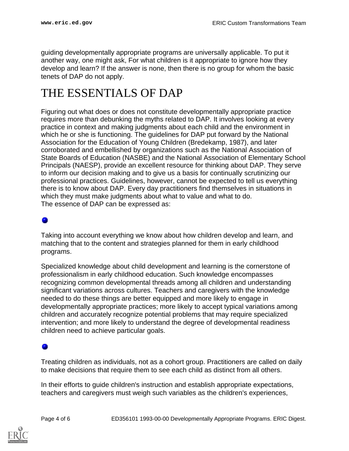guiding developmentally appropriate programs are universally applicable. To put it another way, one might ask, For what children is it appropriate to ignore how they develop and learn? If the answer is none, then there is no group for whom the basic tenets of DAP do not apply.

## <span id="page-3-0"></span>THE ESSENTIALS OF DAP

Figuring out what does or does not constitute developmentally appropriate practice requires more than debunking the myths related to DAP. It involves looking at every practice in context and making judgments about each child and the environment in which he or she is functioning. The guidelines for DAP put forward by the National Association for the Education of Young Children (Bredekamp, 1987), and later corroborated and embellished by organizations such as the National Association of State Boards of Education (NASBE) and the National Association of Elementary School Principals (NAESP), provide an excellent resource for thinking about DAP. They serve to inform our decision making and to give us a basis for continually scrutinizing our professional practices. Guidelines, however, cannot be expected to tell us everything there is to know about DAP. Every day practitioners find themselves in situations in which they must make judgments about what to value and what to do. The essence of DAP can be expressed as:

#### o

Taking into account everything we know about how children develop and learn, and matching that to the content and strategies planned for them in early childhood programs.

Specialized knowledge about child development and learning is the cornerstone of professionalism in early childhood education. Such knowledge encompasses recognizing common developmental threads among all children and understanding significant variations across cultures. Teachers and caregivers with the knowledge needed to do these things are better equipped and more likely to engage in developmentally appropriate practices; more likely to accept typical variations among children and accurately recognize potential problems that may require specialized intervention; and more likely to understand the degree of developmental readiness children need to achieve particular goals.

Treating children as individuals, not as a cohort group. Practitioners are called on daily to make decisions that require them to see each child as distinct from all others.

In their efforts to guide children's instruction and establish appropriate expectations, teachers and caregivers must weigh such variables as the children's experiences,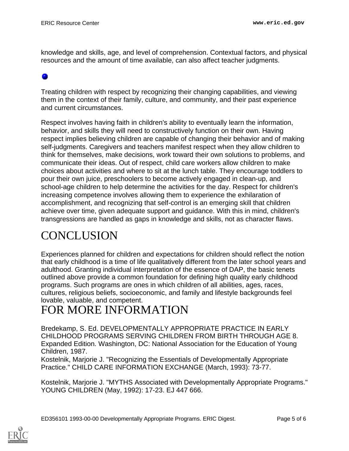knowledge and skills, age, and level of comprehension. Contextual factors, and physical resources and the amount of time available, can also affect teacher judgments.

#### 0

Treating children with respect by recognizing their changing capabilities, and viewing them in the context of their family, culture, and community, and their past experience and current circumstances.

Respect involves having faith in children's ability to eventually learn the information, behavior, and skills they will need to constructively function on their own. Having respect implies believing children are capable of changing their behavior and of making self-judgments. Caregivers and teachers manifest respect when they allow children to think for themselves, make decisions, work toward their own solutions to problems, and communicate their ideas. Out of respect, child care workers allow children to make choices about activities and where to sit at the lunch table. They encourage toddlers to pour their own juice, preschoolers to become actively engaged in clean-up, and school-age children to help determine the activities for the day. Respect for children's increasing competence involves allowing them to experience the exhilaration of accomplishment, and recognizing that self-control is an emerging skill that children achieve over time, given adequate support and guidance. With this in mind, children's transgressions are handled as gaps in knowledge and skills, not as character flaws.

## <span id="page-4-0"></span>**CONCLUSION**

Experiences planned for children and expectations for children should reflect the notion that early childhood is a time of life qualitatively different from the later school years and adulthood. Granting individual interpretation of the essence of DAP, the basic tenets outlined above provide a common foundation for defining high quality early childhood programs. Such programs are ones in which children of all abilities, ages, races, cultures, religious beliefs, socioeconomic, and family and lifestyle backgrounds feel lovable, valuable, and competent.

## <span id="page-4-1"></span>FOR MORE INFORMATION

Bredekamp, S. Ed. DEVELOPMENTALLY APPROPRIATE PRACTICE IN EARLY CHILDHOOD PROGRAMS SERVING CHILDREN FROM BIRTH THROUGH AGE 8. Expanded Edition. Washington, DC: National Association for the Education of Young Children, 1987.

Kostelnik, Marjorie J. "Recognizing the Essentials of Developmentally Appropriate Practice." CHILD CARE INFORMATION EXCHANGE (March, 1993): 73-77.

Kostelnik, Marjorie J. "MYTHS Associated with Developmentally Appropriate Programs." YOUNG CHILDREN (May, 1992): 17-23. EJ 447 666.

ED356101 1993-00-00 Developmentally Appropriate Programs. ERIC Digest. Page 5 of 6